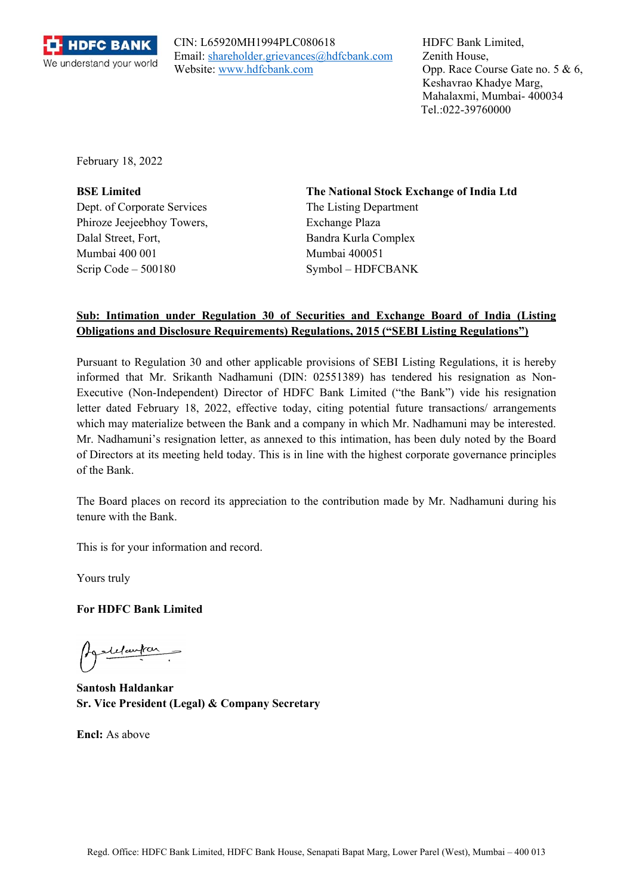

CIN: L65920MH1994PLC080618 Email: shareholder.grievances@hdfcbank.com Website: www.hdfcbank.com

HDFC Bank Limited, Zenith House, Opp. Race Course Gate no. 5 & 6, Keshavrao Khadye Marg, Mahalaxmi, Mumbai- 400034 Tel.:022-39760000

February 18, 2022

Dept. of Corporate Services The Listing Department Phiroze Jeejeebhoy Towers, Exchange Plaza Dalal Street, Fort, Bandra Kurla Complex Mumbai 400 001 Mumbai 400051 Scrip Code – 500180 Symbol – HDFCBANK

**BSE Limited The National Stock Exchange of India Ltd**

## **Sub: Intimation under Regulation 30 of Securities and Exchange Board of India (Listing Obligations and Disclosure Requirements) Regulations, 2015 ("SEBI Listing Regulations")**

Pursuant to Regulation 30 and other applicable provisions of SEBI Listing Regulations, it is hereby informed that Mr. Srikanth Nadhamuni (DIN: 02551389) has tendered his resignation as Non-Executive (Non-Independent) Director of HDFC Bank Limited ("the Bank") vide his resignation letter dated February 18, 2022, effective today, citing potential future transactions/ arrangements which may materialize between the Bank and a company in which Mr. Nadhamuni may be interested. Mr. Nadhamuni's resignation letter, as annexed to this intimation, has been duly noted by the Board of Directors at its meeting held today. This is in line with the highest corporate governance principles of the Bank.

The Board places on record its appreciation to the contribution made by Mr. Nadhamuni during his tenure with the Bank.

This is for your information and record.

Yours truly

**For HDFC Bank Limited** 

Agodelautar

**Santosh Haldankar Sr. Vice President (Legal) & Company Secretary** 

**Encl:** As above